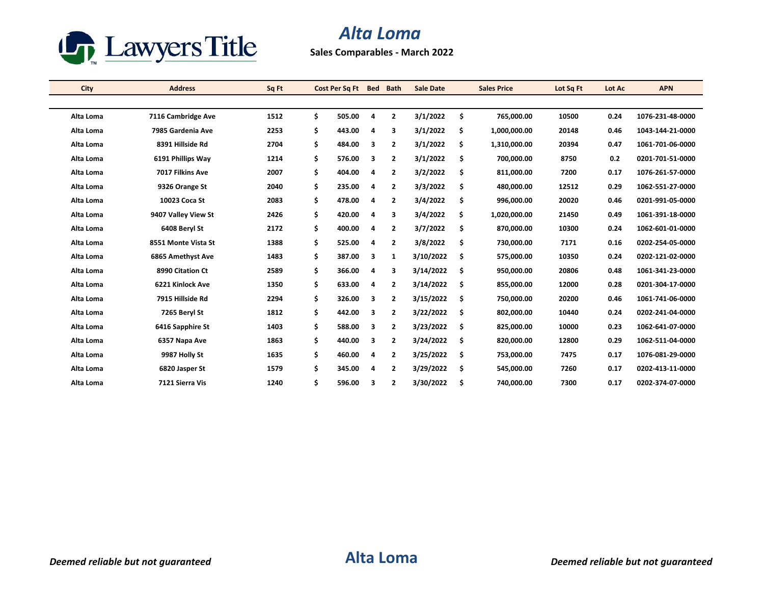

## *Alta Loma*

**Sales Comparables - March 2022**

| City      | <b>Address</b>      | Sq Ft | Cost Per Sq Ft |   | <b>Bed Bath</b> | <b>Sale Date</b> | <b>Sales Price</b> | Lot Sq Ft | Lot Ac | <b>APN</b>       |
|-----------|---------------------|-------|----------------|---|-----------------|------------------|--------------------|-----------|--------|------------------|
|           |                     |       |                |   |                 |                  |                    |           |        |                  |
| Alta Loma | 7116 Cambridge Ave  | 1512  | \$<br>505.00   | 4 | $\overline{2}$  | 3/1/2022         | \$<br>765,000.00   | 10500     | 0.24   | 1076-231-48-0000 |
| Alta Loma | 7985 Gardenia Ave   | 2253  | \$<br>443.00   | 4 | 3               | 3/1/2022         | \$<br>1,000,000.00 | 20148     | 0.46   | 1043-144-21-0000 |
| Alta Loma | 8391 Hillside Rd    | 2704  | \$<br>484.00   | 3 | $\overline{2}$  | 3/1/2022         | \$<br>1,310,000.00 | 20394     | 0.47   | 1061-701-06-0000 |
| Alta Loma | 6191 Phillips Way   | 1214  | \$<br>576.00   | 3 | $\overline{2}$  | 3/1/2022         | \$<br>700,000.00   | 8750      | 0.2    | 0201-701-51-0000 |
| Alta Loma | 7017 Filkins Ave    | 2007  | \$<br>404.00   | 4 | $\overline{2}$  | 3/2/2022         | \$<br>811,000.00   | 7200      | 0.17   | 1076-261-57-0000 |
| Alta Loma | 9326 Orange St      | 2040  | \$<br>235.00   | 4 | $\overline{2}$  | 3/3/2022         | \$<br>480,000.00   | 12512     | 0.29   | 1062-551-27-0000 |
| Alta Loma | 10023 Coca St       | 2083  | \$<br>478.00   | 4 | $\overline{2}$  | 3/4/2022         | \$<br>996,000.00   | 20020     | 0.46   | 0201-991-05-0000 |
| Alta Loma | 9407 Valley View St | 2426  | \$<br>420.00   | 4 | 3               | 3/4/2022         | \$<br>1,020,000.00 | 21450     | 0.49   | 1061-391-18-0000 |
| Alta Loma | 6408 Beryl St       | 2172  | \$<br>400.00   | 4 | $\overline{2}$  | 3/7/2022         | \$<br>870,000.00   | 10300     | 0.24   | 1062-601-01-0000 |
| Alta Loma | 8551 Monte Vista St | 1388  | \$<br>525.00   | 4 | $\overline{2}$  | 3/8/2022         | \$<br>730,000.00   | 7171      | 0.16   | 0202-254-05-0000 |
| Alta Loma | 6865 Amethyst Ave   | 1483  | \$<br>387.00   | 3 | $\mathbf{1}$    | 3/10/2022        | \$<br>575,000.00   | 10350     | 0.24   | 0202-121-02-0000 |
| Alta Loma | 8990 Citation Ct    | 2589  | \$<br>366.00   | 4 | 3               | 3/14/2022        | \$<br>950,000.00   | 20806     | 0.48   | 1061-341-23-0000 |
| Alta Loma | 6221 Kinlock Ave    | 1350  | \$<br>633.00   | 4 | $\overline{2}$  | 3/14/2022        | \$<br>855,000.00   | 12000     | 0.28   | 0201-304-17-0000 |
| Alta Loma | 7915 Hillside Rd    | 2294  | \$<br>326.00   | 3 | $\overline{2}$  | 3/15/2022        | \$<br>750,000.00   | 20200     | 0.46   | 1061-741-06-0000 |
| Alta Loma | 7265 Beryl St       | 1812  | \$<br>442.00   | 3 | $\overline{2}$  | 3/22/2022        | \$<br>802,000.00   | 10440     | 0.24   | 0202-241-04-0000 |
| Alta Loma | 6416 Sapphire St    | 1403  | \$<br>588.00   | 3 | $\overline{2}$  | 3/23/2022        | \$<br>825,000.00   | 10000     | 0.23   | 1062-641-07-0000 |
| Alta Loma | 6357 Napa Ave       | 1863  | \$<br>440.00   | 3 | $\overline{2}$  | 3/24/2022        | \$<br>820,000.00   | 12800     | 0.29   | 1062-511-04-0000 |
| Alta Loma | 9987 Holly St       | 1635  | \$<br>460.00   | 4 | 2               | 3/25/2022        | \$<br>753,000.00   | 7475      | 0.17   | 1076-081-29-0000 |
| Alta Loma | 6820 Jasper St      | 1579  | \$<br>345.00   | 4 | $\overline{2}$  | 3/29/2022        | \$<br>545,000.00   | 7260      | 0.17   | 0202-413-11-0000 |
| Alta Loma | 7121 Sierra Vis     | 1240  | \$<br>596.00   | 3 | $\mathbf{2}$    | 3/30/2022        | \$<br>740,000.00   | 7300      | 0.17   | 0202-374-07-0000 |